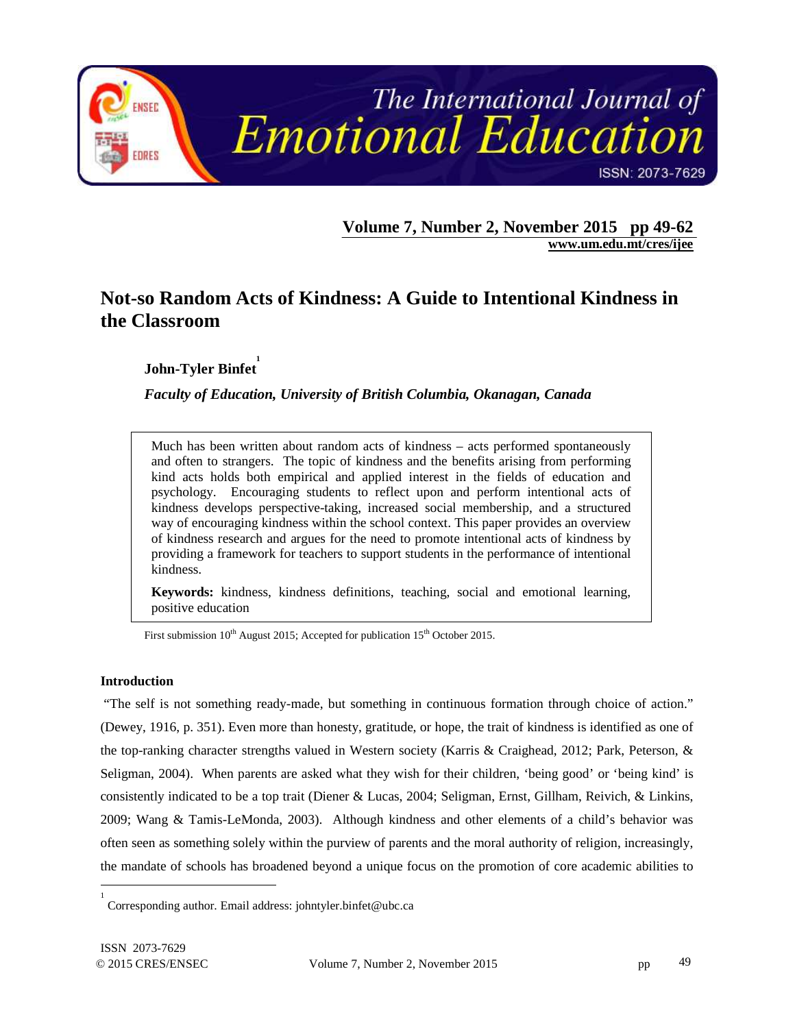

**Volume 7, Number 2, November 2015 pp 49-62 www.um.edu.mt/cres/ijee** 

## **Not-so Random Acts of Kindness: A Guide to Intentional Kindness in the Classroom**

**John-Tyler Binfet 1**

### *Faculty of Education, University of British Columbia, Okanagan, Canada*

Much has been written about random acts of kindness – acts performed spontaneously and often to strangers. The topic of kindness and the benefits arising from performing kind acts holds both empirical and applied interest in the fields of education and psychology. Encouraging students to reflect upon and perform intentional acts of kindness develops perspective-taking, increased social membership, and a structured way of encouraging kindness within the school context. This paper provides an overview of kindness research and argues for the need to promote intentional acts of kindness by providing a framework for teachers to support students in the performance of intentional kindness.

**Keywords:** kindness, kindness definitions, teaching, social and emotional learning, positive education

First submission 10<sup>th</sup> August 2015; Accepted for publication 15<sup>th</sup> October 2015.

#### **Introduction**

"The self is not something ready-made, but something in continuous formation through choice of action." (Dewey, 1916, p. 351). Even more than honesty, gratitude, or hope, the trait of kindness is identified as one of the top-ranking character strengths valued in Western society (Karris & Craighead, 2012; Park, Peterson, & Seligman, 2004). When parents are asked what they wish for their children, 'being good' or 'being kind' is consistently indicated to be a top trait (Diener & Lucas, 2004; Seligman, Ernst, Gillham, Reivich, & Linkins, 2009; Wang & Tamis-LeMonda, 2003). Although kindness and other elements of a child's behavior was often seen as something solely within the purview of parents and the moral authority of religion, increasingly, the mandate of schools has broadened beyond a unique focus on the promotion of core academic abilities to

 $\overline{a}$ 

<sup>1</sup> Corresponding author. Email address: johntyler.binfet@ubc.ca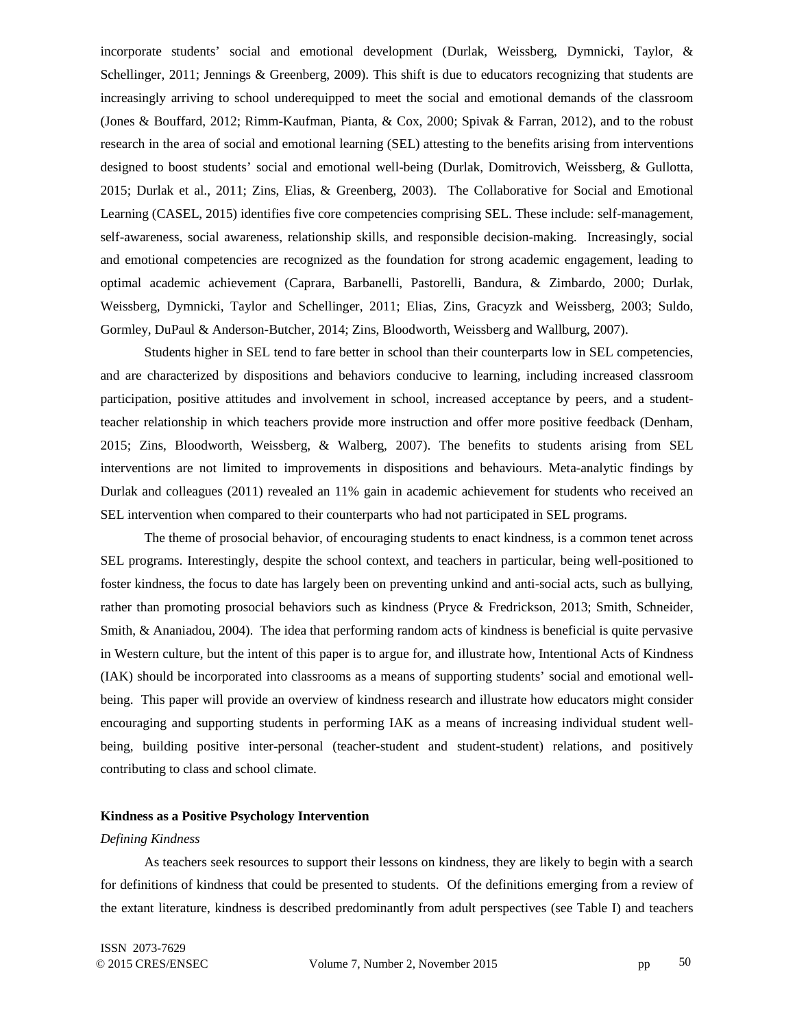incorporate students' social and emotional development (Durlak, Weissberg, Dymnicki, Taylor, & Schellinger, 2011; Jennings & Greenberg, 2009). This shift is due to educators recognizing that students are increasingly arriving to school underequipped to meet the social and emotional demands of the classroom (Jones & Bouffard, 2012; Rimm-Kaufman, Pianta, & Cox, 2000; Spivak & Farran, 2012), and to the robust research in the area of social and emotional learning (SEL) attesting to the benefits arising from interventions designed to boost students' social and emotional well-being (Durlak, Domitrovich, Weissberg, & Gullotta, 2015; Durlak et al., 2011; Zins, Elias, & Greenberg, 2003). The Collaborative for Social and Emotional Learning (CASEL, 2015) identifies five core competencies comprising SEL. These include: self-management, self-awareness, social awareness, relationship skills, and responsible decision-making. Increasingly, social and emotional competencies are recognized as the foundation for strong academic engagement, leading to optimal academic achievement (Caprara, Barbanelli, Pastorelli, Bandura, & Zimbardo, 2000; Durlak, Weissberg, Dymnicki, Taylor and Schellinger, 2011; Elias, Zins, Gracyzk and Weissberg, 2003; Suldo, Gormley, DuPaul & Anderson-Butcher, 2014; Zins, Bloodworth, Weissberg and Wallburg, 2007).

Students higher in SEL tend to fare better in school than their counterparts low in SEL competencies, and are characterized by dispositions and behaviors conducive to learning, including increased classroom participation, positive attitudes and involvement in school, increased acceptance by peers, and a studentteacher relationship in which teachers provide more instruction and offer more positive feedback (Denham, 2015; Zins, Bloodworth, Weissberg, & Walberg, 2007). The benefits to students arising from SEL interventions are not limited to improvements in dispositions and behaviours. Meta-analytic findings by Durlak and colleagues (2011) revealed an 11% gain in academic achievement for students who received an SEL intervention when compared to their counterparts who had not participated in SEL programs.

The theme of prosocial behavior, of encouraging students to enact kindness, is a common tenet across SEL programs. Interestingly, despite the school context, and teachers in particular, being well-positioned to foster kindness, the focus to date has largely been on preventing unkind and anti-social acts, such as bullying, rather than promoting prosocial behaviors such as kindness (Pryce & Fredrickson, 2013; Smith, Schneider, Smith, & Ananiadou, 2004). The idea that performing random acts of kindness is beneficial is quite pervasive in Western culture, but the intent of this paper is to argue for, and illustrate how, Intentional Acts of Kindness (IAK) should be incorporated into classrooms as a means of supporting students' social and emotional wellbeing. This paper will provide an overview of kindness research and illustrate how educators might consider encouraging and supporting students in performing IAK as a means of increasing individual student wellbeing, building positive inter-personal (teacher-student and student-student) relations, and positively contributing to class and school climate.

#### **Kindness as a Positive Psychology Intervention**

#### *Defining Kindness*

As teachers seek resources to support their lessons on kindness, they are likely to begin with a search for definitions of kindness that could be presented to students. Of the definitions emerging from a review of the extant literature, kindness is described predominantly from adult perspectives (see Table I) and teachers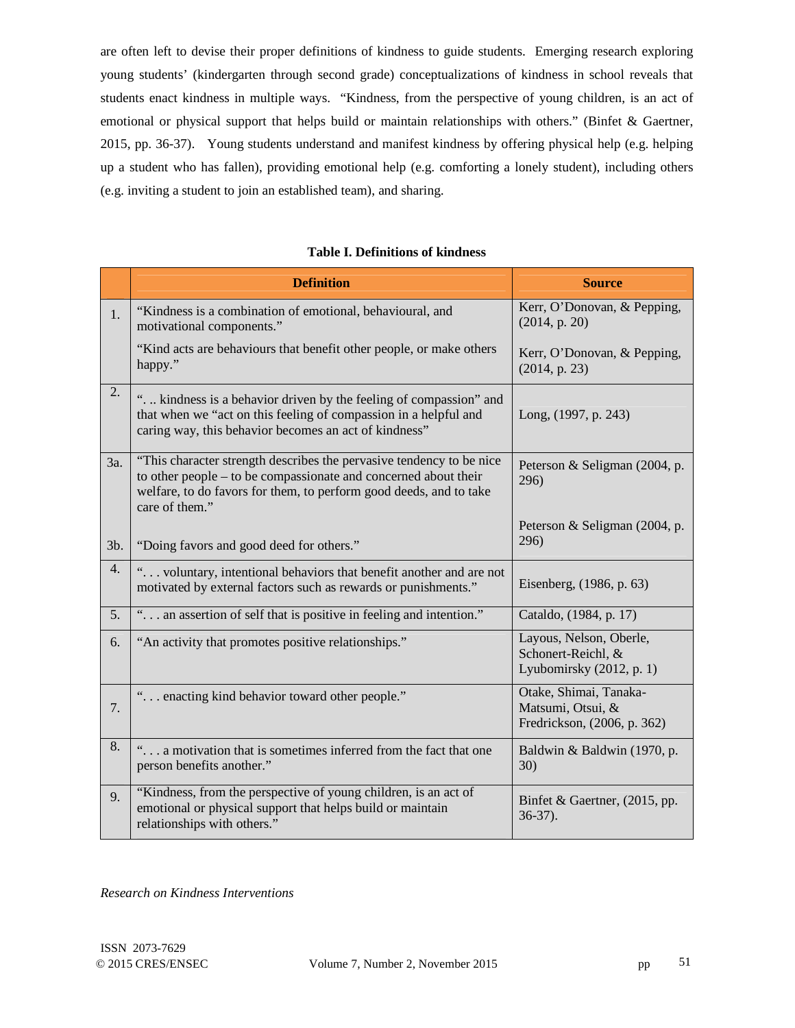are often left to devise their proper definitions of kindness to guide students. Emerging research exploring young students' (kindergarten through second grade) conceptualizations of kindness in school reveals that students enact kindness in multiple ways. "Kindness, from the perspective of young children, is an act of emotional or physical support that helps build or maintain relationships with others." (Binfet & Gaertner, 2015, pp. 36-37). Young students understand and manifest kindness by offering physical help (e.g. helping up a student who has fallen), providing emotional help (e.g. comforting a lonely student), including others (e.g. inviting a student to join an established team), and sharing.

#### **Table I. Definitions of kindness**

|     | <b>Definition</b>                                                                                                                                                                                                               | <b>Source</b>                                                              |
|-----|---------------------------------------------------------------------------------------------------------------------------------------------------------------------------------------------------------------------------------|----------------------------------------------------------------------------|
| 1.  | "Kindness is a combination of emotional, behavioural, and<br>motivational components."                                                                                                                                          | Kerr, O'Donovan, & Pepping,<br>(2014, p. 20)                               |
|     | "Kind acts are behaviours that benefit other people, or make others<br>happy."                                                                                                                                                  | Kerr, O'Donovan, & Pepping,<br>(2014, p. 23)                               |
| 2.  | " kindness is a behavior driven by the feeling of compassion" and<br>that when we "act on this feeling of compassion in a helpful and<br>caring way, this behavior becomes an act of kindness"                                  | Long, (1997, p. 243)                                                       |
| 3a. | "This character strength describes the pervasive tendency to be nice<br>to other people – to be compassionate and concerned about their<br>welfare, to do favors for them, to perform good deeds, and to take<br>care of them." | Peterson & Seligman (2004, p.<br>296)                                      |
| 3b. | "Doing favors and good deed for others."                                                                                                                                                                                        | Peterson & Seligman (2004, p.<br>296)                                      |
| 4.  | " voluntary, intentional behaviors that benefit another and are not<br>motivated by external factors such as rewards or punishments."                                                                                           | Eisenberg, (1986, p. 63)                                                   |
| 5.  | " an assertion of self that is positive in feeling and intention."                                                                                                                                                              | Cataldo, (1984, p. 17)                                                     |
| 6.  | "An activity that promotes positive relationships."                                                                                                                                                                             | Layous, Nelson, Oberle,<br>Schonert-Reichl, &<br>Lyubomirsky (2012, p. 1)  |
| 7.  | enacting kind behavior toward other people."                                                                                                                                                                                    | Otake, Shimai, Tanaka-<br>Matsumi, Otsui, &<br>Fredrickson, (2006, p. 362) |
| 8.  | " a motivation that is sometimes inferred from the fact that one<br>person benefits another."                                                                                                                                   | Baldwin & Baldwin (1970, p.<br>30)                                         |
| 9.  | "Kindness, from the perspective of young children, is an act of<br>emotional or physical support that helps build or maintain<br>relationships with others."                                                                    | Binfet & Gaertner, (2015, pp.<br>$36-37$ ).                                |

*Research on Kindness Interventions*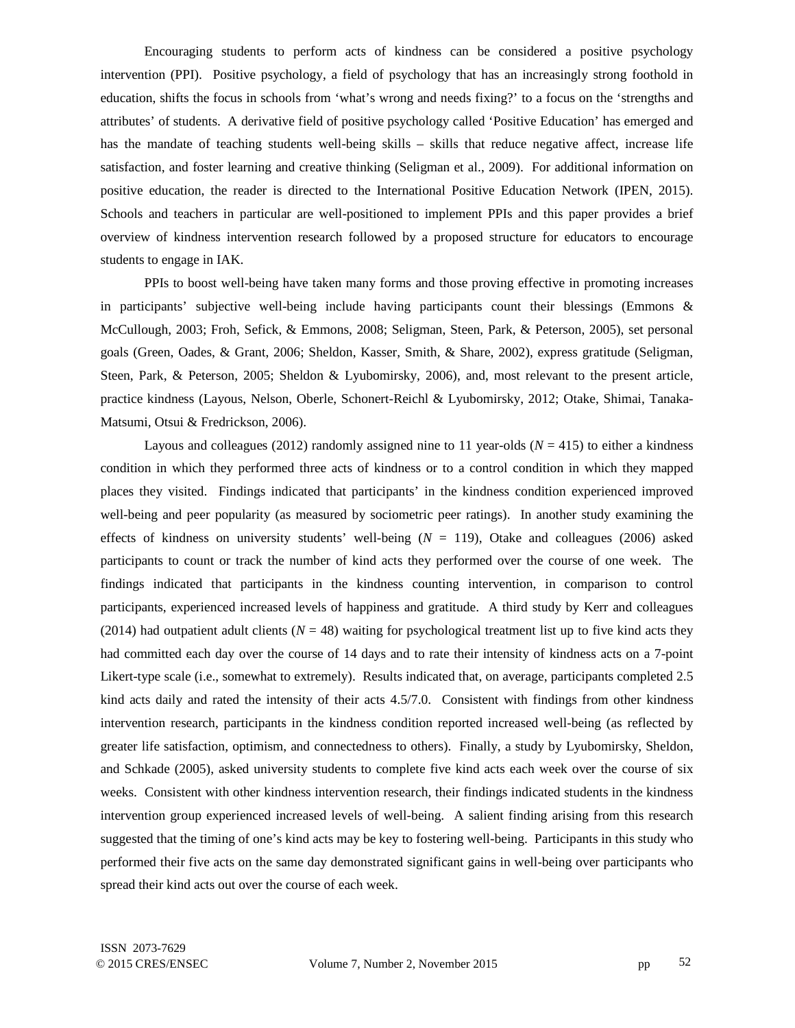Encouraging students to perform acts of kindness can be considered a positive psychology intervention (PPI). Positive psychology, a field of psychology that has an increasingly strong foothold in education, shifts the focus in schools from 'what's wrong and needs fixing?' to a focus on the 'strengths and attributes' of students. A derivative field of positive psychology called 'Positive Education' has emerged and has the mandate of teaching students well-being skills – skills that reduce negative affect, increase life satisfaction, and foster learning and creative thinking (Seligman et al., 2009). For additional information on positive education, the reader is directed to the International Positive Education Network (IPEN, 2015). Schools and teachers in particular are well-positioned to implement PPIs and this paper provides a brief overview of kindness intervention research followed by a proposed structure for educators to encourage students to engage in IAK.

PPIs to boost well-being have taken many forms and those proving effective in promoting increases in participants' subjective well-being include having participants count their blessings (Emmons & McCullough, 2003; Froh, Sefick, & Emmons, 2008; Seligman, Steen, Park, & Peterson, 2005), set personal goals (Green, Oades, & Grant, 2006; Sheldon, Kasser, Smith, & Share, 2002), express gratitude (Seligman, Steen, Park, & Peterson, 2005; Sheldon & Lyubomirsky, 2006), and, most relevant to the present article, practice kindness (Layous, Nelson, Oberle, Schonert-Reichl & Lyubomirsky, 2012; Otake, Shimai, Tanaka-Matsumi, Otsui & Fredrickson, 2006).

Layous and colleagues (2012) randomly assigned nine to 11 year-olds  $(N = 415)$  to either a kindness condition in which they performed three acts of kindness or to a control condition in which they mapped places they visited. Findings indicated that participants' in the kindness condition experienced improved well-being and peer popularity (as measured by sociometric peer ratings). In another study examining the effects of kindness on university students' well-being (*N* = 119), Otake and colleagues (2006) asked participants to count or track the number of kind acts they performed over the course of one week. The findings indicated that participants in the kindness counting intervention, in comparison to control participants, experienced increased levels of happiness and gratitude. A third study by Kerr and colleagues (2014) had outpatient adult clients  $(N = 48)$  waiting for psychological treatment list up to five kind acts they had committed each day over the course of 14 days and to rate their intensity of kindness acts on a 7-point Likert-type scale (i.e., somewhat to extremely). Results indicated that, on average, participants completed 2.5 kind acts daily and rated the intensity of their acts 4.5/7.0. Consistent with findings from other kindness intervention research, participants in the kindness condition reported increased well-being (as reflected by greater life satisfaction, optimism, and connectedness to others). Finally, a study by Lyubomirsky, Sheldon, and Schkade (2005), asked university students to complete five kind acts each week over the course of six weeks. Consistent with other kindness intervention research, their findings indicated students in the kindness intervention group experienced increased levels of well-being. A salient finding arising from this research suggested that the timing of one's kind acts may be key to fostering well-being. Participants in this study who performed their five acts on the same day demonstrated significant gains in well-being over participants who spread their kind acts out over the course of each week.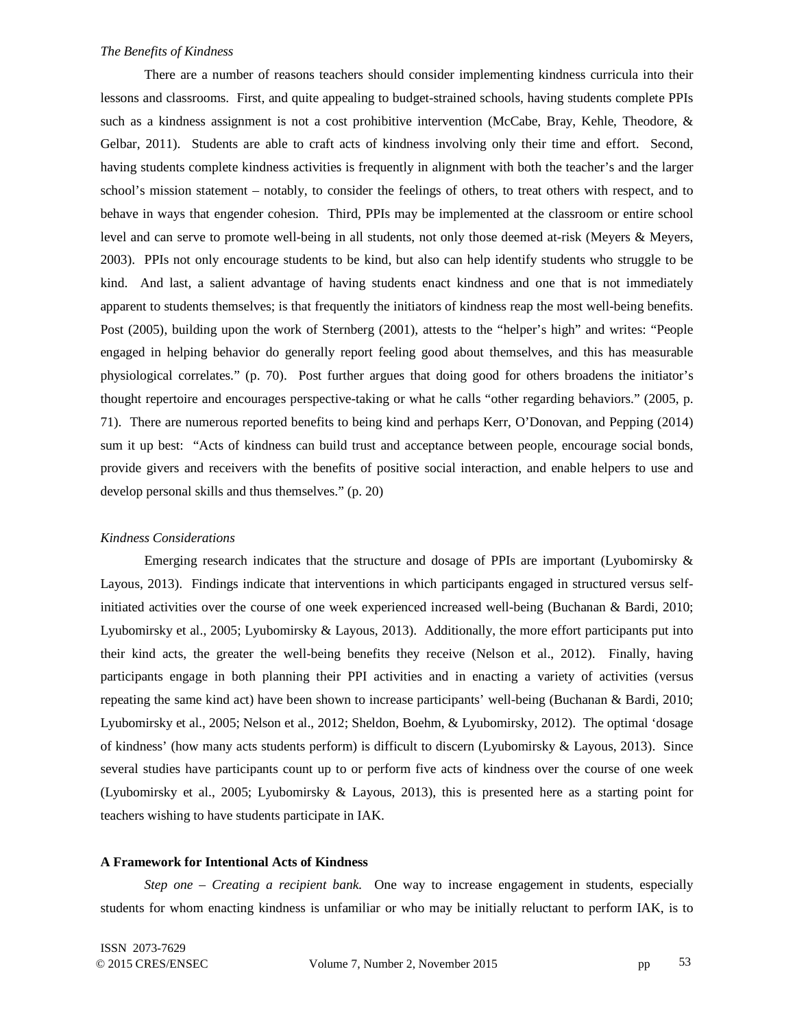#### *The Benefits of Kindness*

There are a number of reasons teachers should consider implementing kindness curricula into their lessons and classrooms. First, and quite appealing to budget-strained schools, having students complete PPIs such as a kindness assignment is not a cost prohibitive intervention (McCabe, Bray, Kehle, Theodore, & Gelbar, 2011). Students are able to craft acts of kindness involving only their time and effort. Second, having students complete kindness activities is frequently in alignment with both the teacher's and the larger school's mission statement – notably, to consider the feelings of others, to treat others with respect, and to behave in ways that engender cohesion. Third, PPIs may be implemented at the classroom or entire school level and can serve to promote well-being in all students, not only those deemed at-risk (Meyers & Meyers, 2003). PPIs not only encourage students to be kind, but also can help identify students who struggle to be kind. And last, a salient advantage of having students enact kindness and one that is not immediately apparent to students themselves; is that frequently the initiators of kindness reap the most well-being benefits. Post (2005), building upon the work of Sternberg (2001), attests to the "helper's high" and writes: "People engaged in helping behavior do generally report feeling good about themselves, and this has measurable physiological correlates." (p. 70). Post further argues that doing good for others broadens the initiator's thought repertoire and encourages perspective-taking or what he calls "other regarding behaviors." (2005, p. 71). There are numerous reported benefits to being kind and perhaps Kerr, O'Donovan, and Pepping (2014) sum it up best: "Acts of kindness can build trust and acceptance between people, encourage social bonds, provide givers and receivers with the benefits of positive social interaction, and enable helpers to use and develop personal skills and thus themselves." (p. 20)

#### *Kindness Considerations*

Emerging research indicates that the structure and dosage of PPIs are important (Lyubomirsky  $\&$ Layous, 2013). Findings indicate that interventions in which participants engaged in structured versus selfinitiated activities over the course of one week experienced increased well-being (Buchanan & Bardi, 2010; Lyubomirsky et al., 2005; Lyubomirsky & Layous, 2013). Additionally, the more effort participants put into their kind acts, the greater the well-being benefits they receive (Nelson et al., 2012). Finally, having participants engage in both planning their PPI activities and in enacting a variety of activities (versus repeating the same kind act) have been shown to increase participants' well-being (Buchanan & Bardi, 2010; Lyubomirsky et al., 2005; Nelson et al., 2012; Sheldon, Boehm, & Lyubomirsky, 2012). The optimal 'dosage of kindness' (how many acts students perform) is difficult to discern (Lyubomirsky & Layous, 2013). Since several studies have participants count up to or perform five acts of kindness over the course of one week (Lyubomirsky et al., 2005; Lyubomirsky & Layous, 2013), this is presented here as a starting point for teachers wishing to have students participate in IAK.

#### **A Framework for Intentional Acts of Kindness**

*Step one – Creating a recipient bank.* One way to increase engagement in students, especially students for whom enacting kindness is unfamiliar or who may be initially reluctant to perform IAK, is to

ISSN 2073-7629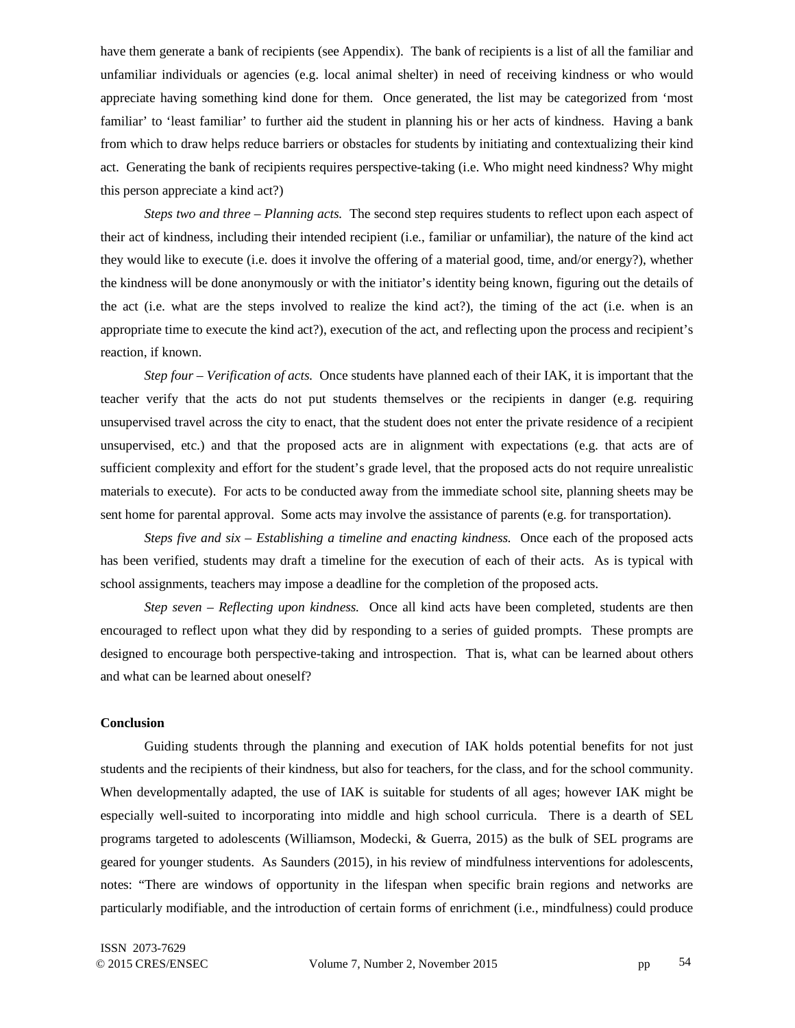have them generate a bank of recipients (see Appendix). The bank of recipients is a list of all the familiar and unfamiliar individuals or agencies (e.g. local animal shelter) in need of receiving kindness or who would appreciate having something kind done for them. Once generated, the list may be categorized from 'most familiar' to 'least familiar' to further aid the student in planning his or her acts of kindness. Having a bank from which to draw helps reduce barriers or obstacles for students by initiating and contextualizing their kind act. Generating the bank of recipients requires perspective-taking (i.e. Who might need kindness? Why might this person appreciate a kind act?)

*Steps two and three – Planning acts.* The second step requires students to reflect upon each aspect of their act of kindness, including their intended recipient (i.e., familiar or unfamiliar), the nature of the kind act they would like to execute (i.e. does it involve the offering of a material good, time, and/or energy?), whether the kindness will be done anonymously or with the initiator's identity being known, figuring out the details of the act (i.e. what are the steps involved to realize the kind act?), the timing of the act (i.e. when is an appropriate time to execute the kind act?), execution of the act, and reflecting upon the process and recipient's reaction, if known.

*Step four – Verification of acts.* Once students have planned each of their IAK, it is important that the teacher verify that the acts do not put students themselves or the recipients in danger (e.g. requiring unsupervised travel across the city to enact, that the student does not enter the private residence of a recipient unsupervised, etc.) and that the proposed acts are in alignment with expectations (e.g. that acts are of sufficient complexity and effort for the student's grade level, that the proposed acts do not require unrealistic materials to execute). For acts to be conducted away from the immediate school site, planning sheets may be sent home for parental approval. Some acts may involve the assistance of parents (e.g. for transportation).

*Steps five and six – Establishing a timeline and enacting kindness.* Once each of the proposed acts has been verified, students may draft a timeline for the execution of each of their acts. As is typical with school assignments, teachers may impose a deadline for the completion of the proposed acts.

*Step seven – Reflecting upon kindness.* Once all kind acts have been completed, students are then encouraged to reflect upon what they did by responding to a series of guided prompts. These prompts are designed to encourage both perspective-taking and introspection. That is, what can be learned about others and what can be learned about oneself?

#### **Conclusion**

Guiding students through the planning and execution of IAK holds potential benefits for not just students and the recipients of their kindness, but also for teachers, for the class, and for the school community. When developmentally adapted, the use of IAK is suitable for students of all ages; however IAK might be especially well-suited to incorporating into middle and high school curricula. There is a dearth of SEL programs targeted to adolescents (Williamson, Modecki, & Guerra, 2015) as the bulk of SEL programs are geared for younger students. As Saunders (2015), in his review of mindfulness interventions for adolescents, notes: "There are windows of opportunity in the lifespan when specific brain regions and networks are particularly modifiable, and the introduction of certain forms of enrichment (i.e., mindfulness) could produce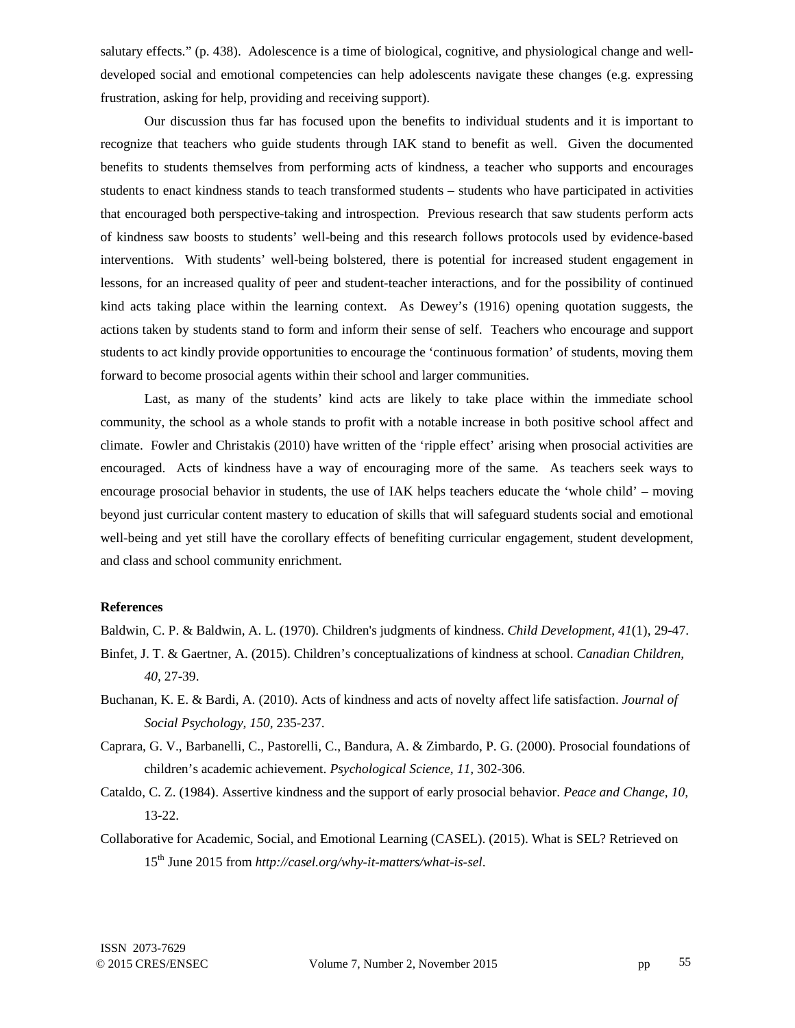salutary effects." (p. 438). Adolescence is a time of biological, cognitive, and physiological change and welldeveloped social and emotional competencies can help adolescents navigate these changes (e.g. expressing frustration, asking for help, providing and receiving support).

Our discussion thus far has focused upon the benefits to individual students and it is important to recognize that teachers who guide students through IAK stand to benefit as well. Given the documented benefits to students themselves from performing acts of kindness, a teacher who supports and encourages students to enact kindness stands to teach transformed students – students who have participated in activities that encouraged both perspective-taking and introspection. Previous research that saw students perform acts of kindness saw boosts to students' well-being and this research follows protocols used by evidence-based interventions. With students' well-being bolstered, there is potential for increased student engagement in lessons, for an increased quality of peer and student-teacher interactions, and for the possibility of continued kind acts taking place within the learning context. As Dewey's (1916) opening quotation suggests, the actions taken by students stand to form and inform their sense of self. Teachers who encourage and support students to act kindly provide opportunities to encourage the 'continuous formation' of students, moving them forward to become prosocial agents within their school and larger communities.

Last, as many of the students' kind acts are likely to take place within the immediate school community, the school as a whole stands to profit with a notable increase in both positive school affect and climate. Fowler and Christakis (2010) have written of the 'ripple effect' arising when prosocial activities are encouraged. Acts of kindness have a way of encouraging more of the same. As teachers seek ways to encourage prosocial behavior in students, the use of IAK helps teachers educate the 'whole child' – moving beyond just curricular content mastery to education of skills that will safeguard students social and emotional well-being and yet still have the corollary effects of benefiting curricular engagement, student development, and class and school community enrichment.

#### **References**

Baldwin, C. P. & Baldwin, A. L. (1970). Children's judgments of kindness. *Child Development, 41*(1), 29-47.

- Binfet, J. T. & Gaertner, A. (2015). Children's conceptualizations of kindness at school. *Canadian Children, 40,* 27-39.
- Buchanan, K. E. & Bardi, A. (2010). Acts of kindness and acts of novelty affect life satisfaction. *Journal of Social Psychology, 150,* 235-237.
- Caprara, G. V., Barbanelli, C., Pastorelli, C., Bandura, A. & Zimbardo, P. G. (2000). Prosocial foundations of children's academic achievement. *Psychological Science, 11,* 302-306.
- Cataldo, C. Z. (1984). Assertive kindness and the support of early prosocial behavior. *Peace and Change, 10,*  13-22.
- Collaborative for Academic, Social, and Emotional Learning (CASEL). (2015). What is SEL? Retrieved on 15th June 2015 from *http://casel.org/why-it-matters/what-is-sel*.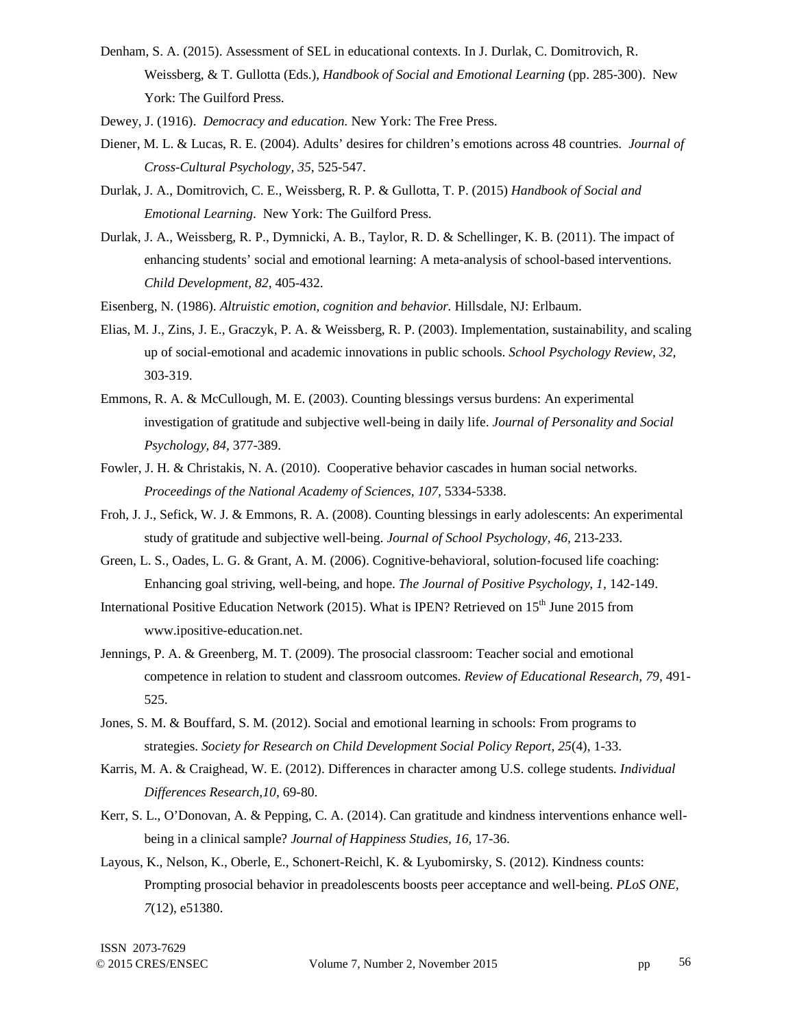- Denham, S. A. (2015). Assessment of SEL in educational contexts. In J. Durlak, C. Domitrovich, R. Weissberg, & T. Gullotta (Eds.), *Handbook of Social and Emotional Learning* (pp. 285-300). New York: The Guilford Press.
- Dewey, J. (1916). *Democracy and education.* New York: The Free Press.
- Diener, M. L. & Lucas, R. E. (2004). Adults' desires for children's emotions across 48 countries. *Journal of Cross-Cultural Psychology, 35,* 525-547.
- Durlak, J. A., Domitrovich, C. E., Weissberg, R. P. & Gullotta, T. P. (2015) *Handbook of Social and Emotional Learning*. New York: The Guilford Press.
- Durlak, J. A., Weissberg, R. P., Dymnicki, A. B., Taylor, R. D. & Schellinger, K. B. (2011). The impact of enhancing students' social and emotional learning: A meta-analysis of school-based interventions. *Child Development, 82,* 405-432.
- Eisenberg, N. (1986). *Altruistic emotion, cognition and behavior.* Hillsdale, NJ: Erlbaum.
- Elias, M. J., Zins, J. E., Graczyk, P. A. & Weissberg, R. P. (2003). Implementation, sustainability, and scaling up of social-emotional and academic innovations in public schools. *School Psychology Review, 32,*  303-319.
- Emmons, R. A. & McCullough, M. E. (2003). Counting blessings versus burdens: An experimental investigation of gratitude and subjective well-being in daily life. *Journal of Personality and Social Psychology, 84,* 377-389.
- Fowler, J. H. & Christakis, N. A. (2010). Cooperative behavior cascades in human social networks. Proceedings of the National Academy of Sciences, 107, 5334-5338.
- Froh, J. J., Sefick, W. J. & Emmons, R. A. (2008). Counting blessings in early adolescents: An experimental study of gratitude and subjective well-being. *Journal of School Psychology, 46,* 213-233.
- Green, L. S., Oades, L. G. & Grant, A. M. (2006). Cognitive-behavioral, solution-focused life coaching: Enhancing goal striving, well-being, and hope. *The Journal of Positive Psychology, 1,* 142-149.
- International Positive Education Network (2015). What is IPEN? Retrieved on 15<sup>th</sup> June 2015 from www.ipositive-education.net.
- Jennings, P. A. & Greenberg, M. T. (2009). The prosocial classroom: Teacher social and emotional competence in relation to student and classroom outcomes. *Review of Educational Research, 79,* 491- 525.
- Jones, S. M. & Bouffard, S. M. (2012). Social and emotional learning in schools: From programs to strategies. *Society for Research on Child Development Social Policy Report, 25*(4), 1-33.
- Karris, M. A. & Craighead, W. E. (2012). Differences in character among U.S. college students. *Individual Differences Research,10,* 69-80.
- Kerr, S. L., O'Donovan, A. & Pepping, C. A. (2014). Can gratitude and kindness interventions enhance wellbeing in a clinical sample? *Journal of Happiness Studies, 16,* 17-36.
- Layous, K., Nelson, K., Oberle, E., Schonert-Reichl, K. & Lyubomirsky, S. (2012). Kindness counts: Prompting prosocial behavior in preadolescents boosts peer acceptance and well-being. *PLoS ONE, 7*(12), e51380.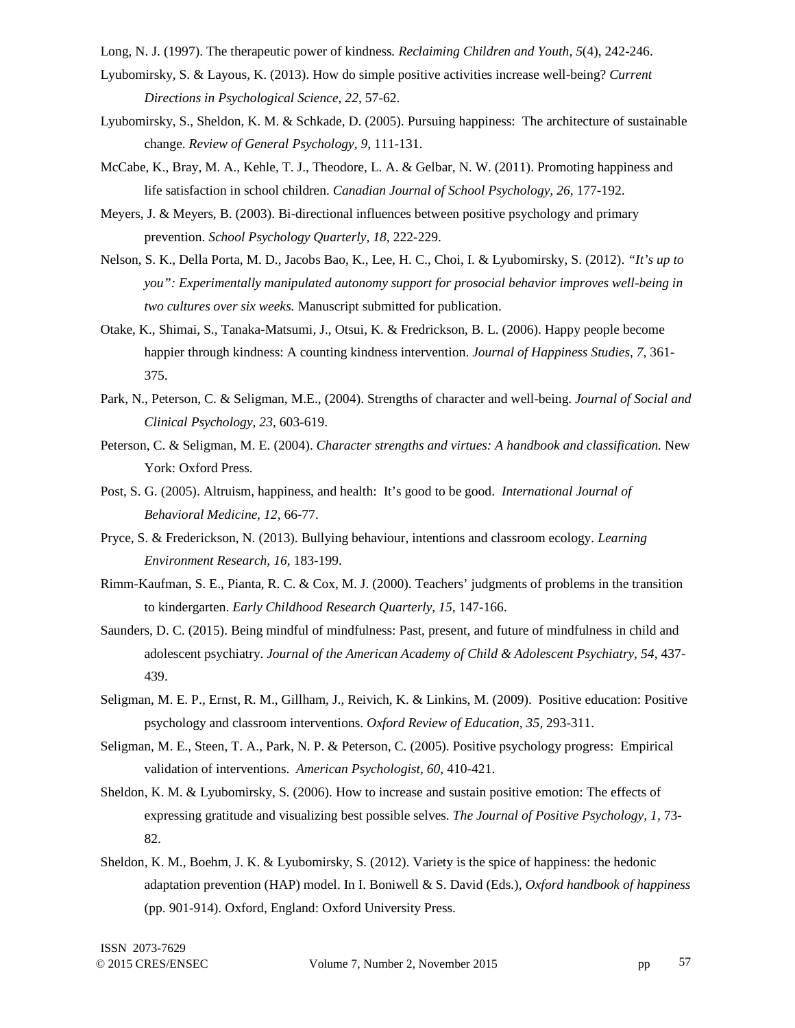Long, N. J. (1997). The therapeutic power of kindness*. Reclaiming Children and Youth, 5*(4), 242-246.

- Lyubomirsky, S. & Layous, K. (2013). How do simple positive activities increase well-being? *Current Directions in Psychological Science, 22,* 57-62.
- Lyubomirsky, S., Sheldon, K. M. & Schkade, D. (2005). Pursuing happiness: The architecture of sustainable change. *Review of General Psychology, 9,* 111-131.
- McCabe, K., Bray, M. A., Kehle, T. J., Theodore, L. A. & Gelbar, N. W. (2011). Promoting happiness and life satisfaction in school children. *Canadian Journal of School Psychology, 26,* 177-192.
- Meyers, J. & Meyers, B. (2003). Bi-directional influences between positive psychology and primary prevention. *School Psychology Quarterly, 18,* 222-229.
- Nelson, S. K., Della Porta, M. D., Jacobs Bao, K., Lee, H. C., Choi, I. & Lyubomirsky, S. (2012). *"It's up to you": Experimentally manipulated autonomy support for prosocial behavior improves well-being in two cultures over six weeks.* Manuscript submitted for publication.
- Otake, K., Shimai, S., Tanaka-Matsumi, J., Otsui, K. & Fredrickson, B. L. (2006). Happy people become happier through kindness: A counting kindness intervention. *Journal of Happiness Studies, 7,* 361- 375.
- Park, N., Peterson, C. & Seligman, M.E., (2004). Strengths of character and well-being. *Journal of Social and Clinical Psychology, 23,* 603-619.
- Peterson, C. & Seligman, M. E. (2004). *Character strengths and virtues: A handbook and classification*. New York: Oxford Press.
- Post, S. G. (2005). Altruism, happiness, and health: It's good to be good. *International Journal of Behavioral Medicine, 12,* 66-77.
- Pryce, S. & Frederickson, N. (2013). Bullying behaviour, intentions and classroom ecology. *Learning Environment Research, 16,* 183-199.
- Rimm-Kaufman, S. E., Pianta, R. C. & Cox, M. J. (2000). Teachers' judgments of problems in the transition to kindergarten. *Early Childhood Research Quarterly, 15,* 147-166.
- Saunders, D. C. (2015). Being mindful of mindfulness: Past, present, and future of mindfulness in child and adolescent psychiatry. *Journal of the American Academy of Child & Adolescent Psychiatry, 54, 437-*439.
- Seligman, M. E. P., Ernst, R. M., Gillham, J., Reivich, K. & Linkins, M. (2009). Positive education: Positive psychology and classroom interventions. *Oxford Review of Education, 35,* 293-311.
- Seligman, M. E., Steen, T. A., Park, N. P. & Peterson, C. (2005). Positive psychology progress: Empirical validation of interventions. *American Psychologist, 60,* 410-421.
- Sheldon, K. M. & Lyubomirsky, S. (2006). How to increase and sustain positive emotion: The effects of expressing gratitude and visualizing best possible selves. *The Journal of Positive Psychology, 1,* 73- 82.
- Sheldon, K. M., Boehm, J. K. & Lyubomirsky, S. (2012). Variety is the spice of happiness: the hedonic adaptation prevention (HAP) model. In I. Boniwell & S. David (Eds.), *Oxford handbook of happiness*  (pp. 901-914). Oxford, England: Oxford University Press.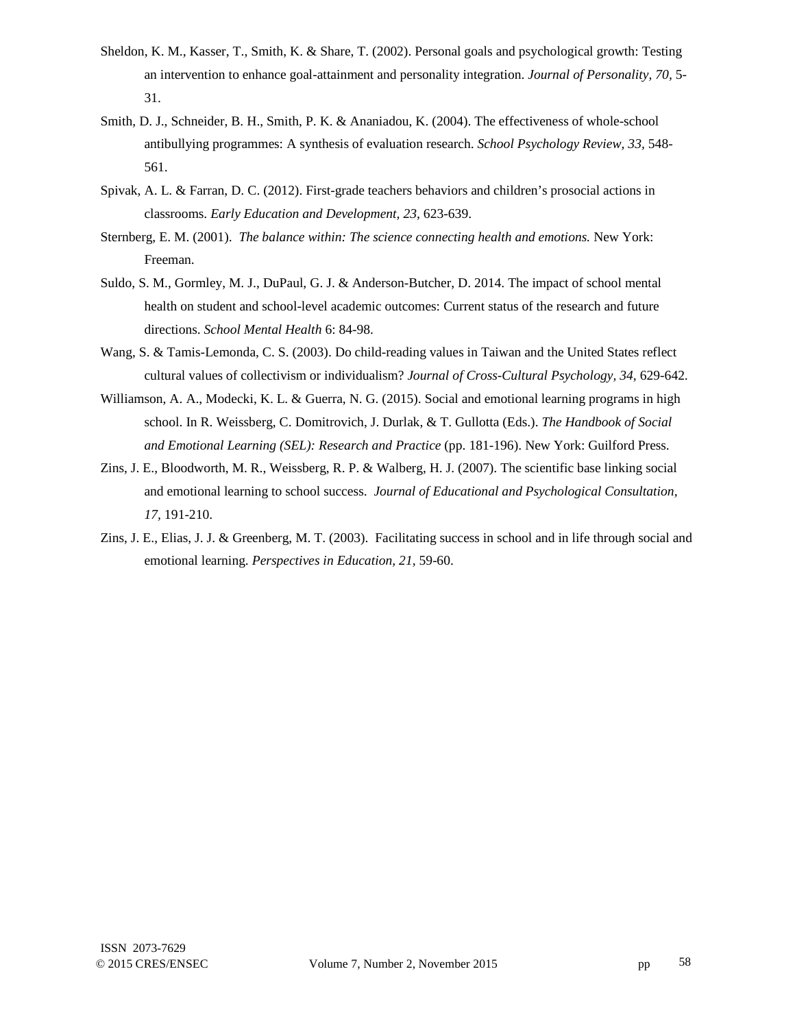- Sheldon, K. M., Kasser, T., Smith, K. & Share, T. (2002). Personal goals and psychological growth: Testing an intervention to enhance goal-attainment and personality integration. *Journal of Personality, 70,* 5- 31.
- Smith, D. J., Schneider, B. H., Smith, P. K. & Ananiadou, K. (2004). The effectiveness of whole-school antibullying programmes: A synthesis of evaluation research. *School Psychology Review, 33,* 548- 561.
- Spivak, A. L. & Farran, D. C. (2012). First-grade teachers behaviors and children's prosocial actions in classrooms. *Early Education and Development, 23,* 623-639.
- Sternberg, E. M. (2001). *The balance within: The science connecting health and emotions.* New York: Freeman.
- Suldo, S. M., Gormley, M. J., DuPaul, G. J. & Anderson-Butcher, D. 2014. The impact of school mental health on student and school-level academic outcomes: Current status of the research and future directions. *School Mental Health* 6: 84-98.
- Wang, S. & Tamis-Lemonda, C. S. (2003). Do child-reading values in Taiwan and the United States reflect cultural values of collectivism or individualism? *Journal of Cross-Cultural Psychology, 34,* 629-642.
- Williamson, A. A., Modecki, K. L. & Guerra, N. G. (2015). Social and emotional learning programs in high school. In R. Weissberg, C. Domitrovich, J. Durlak, & T. Gullotta (Eds.). *The Handbook of Social and Emotional Learning (SEL): Research and Practice* (pp. 181-196). New York: Guilford Press.
- Zins, J. E., Bloodworth, M. R., Weissberg, R. P. & Walberg, H. J. (2007). The scientific base linking social and emotional learning to school success. *Journal of Educational and Psychological Consultation, 17,* 191-210.
- Zins, J. E., Elias, J. J. & Greenberg, M. T. (2003). Facilitating success in school and in life through social and emotional learning. *Perspectives in Education, 21,* 59-60.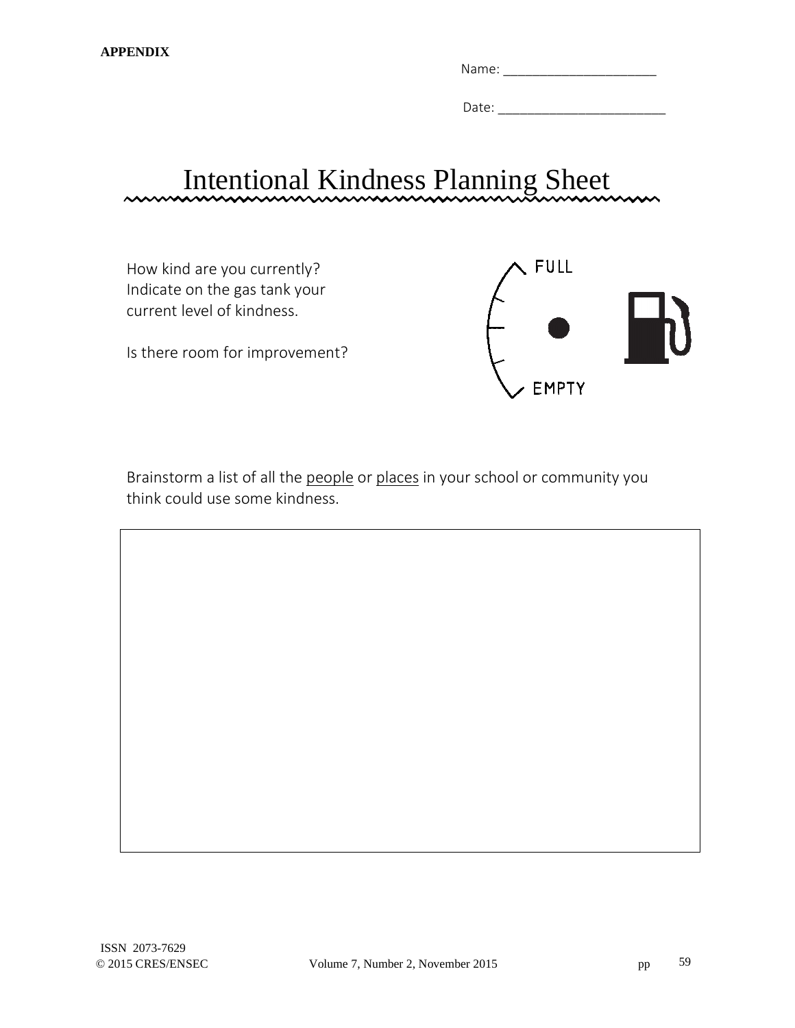| M |
|---|
|   |

Date: \_\_\_\_\_\_\_\_\_\_\_\_\_\_\_\_\_\_\_\_\_\_\_

## Intentional Kindness Planning Sheet  $\overline{\mathbf{w}}$



Brainstorm a list of all the people or places in your school or community you think could use some kindness.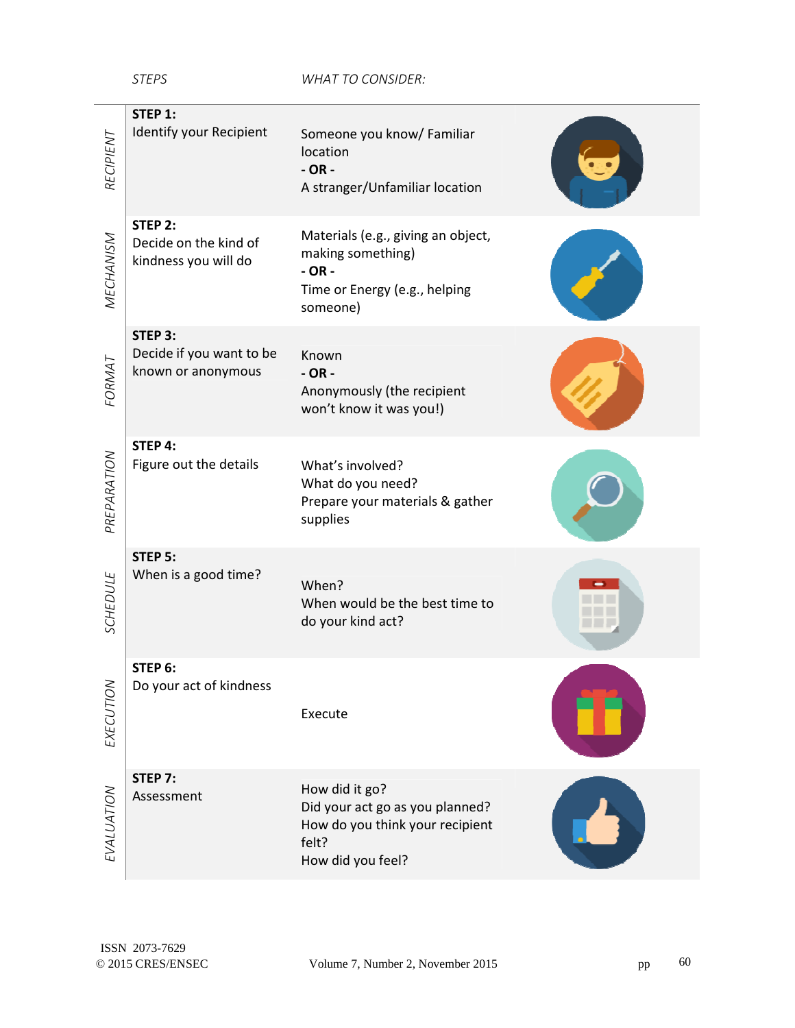*STEPS WHAT TO CONSIDER:* 

| <i>RECIPIEN</i> 1 | STEP 1:<br><b>Identify your Recipient</b>                 | Someone you know/ Familiar<br>location<br>$-OR -$<br>A stranger/Unfamiliar location                                |  |
|-------------------|-----------------------------------------------------------|--------------------------------------------------------------------------------------------------------------------|--|
| MECHANISM         | STEP 2:<br>Decide on the kind of<br>kindness you will do  | Materials (e.g., giving an object,<br>making something)<br>$-OR -$<br>Time or Energy (e.g., helping<br>someone)    |  |
| FORMAT            | STEP 3:<br>Decide if you want to be<br>known or anonymous | Known<br>$-OR -$<br>Anonymously (the recipient<br>won't know it was you!)                                          |  |
| PREPARATION       | STEP 4:<br>Figure out the details                         | What's involved?<br>What do you need?<br>Prepare your materials & gather<br>supplies                               |  |
| SCHEDULE          | STEP 5:<br>When is a good time?                           | When?<br>When would be the best time to<br>do your kind act?                                                       |  |
| EXECUTION         | STEP 6:<br>Do your act of kindness                        | Execute                                                                                                            |  |
| EVALUATION        | STEP 7:<br>Assessment                                     | How did it go?<br>Did your act go as you planned?<br>How do you think your recipient<br>felt?<br>How did you feel? |  |
|                   |                                                           |                                                                                                                    |  |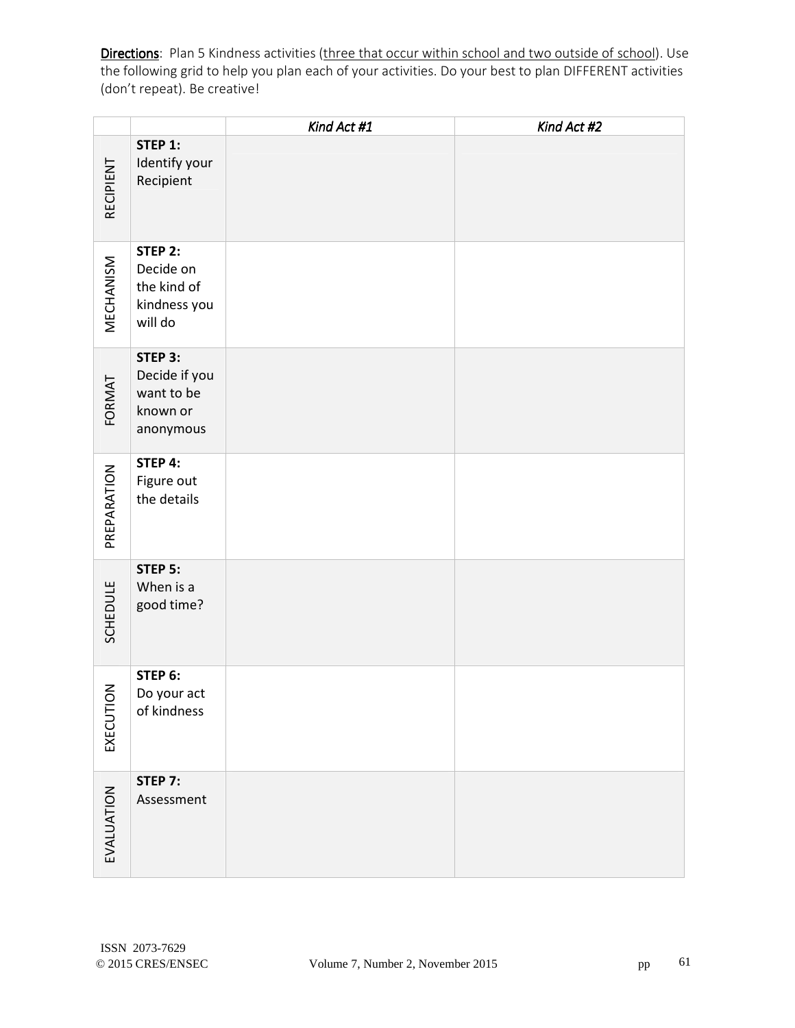Directions: Plan 5 Kindness activities (three that occur within school and two outside of school). Use the following grid to help you plan each of your activities. Do your best to plan DIFFERENT activities (don't repeat). Be creative!

|                  |                                                                 | Kind Act #1 | Kind Act #2 |
|------------------|-----------------------------------------------------------------|-------------|-------------|
| <b>RECIPIENT</b> | <b>STEP 1:</b><br>Identify your<br>Recipient                    |             |             |
| MECHANISM        | STEP 2:<br>Decide on<br>the kind of<br>kindness you<br>will do  |             |             |
| FORMAT           | STEP 3:<br>Decide if you<br>want to be<br>known or<br>anonymous |             |             |
| PREPARATION      | STEP 4:<br>Figure out<br>the details                            |             |             |
| SCHEDULE         | STEP 5:<br>When is a<br>good time?                              |             |             |
| EXECUTION        | STEP 6:<br>Do your act<br>of kindness                           |             |             |
| EVALUATION       | STEP 7:<br>Assessment                                           |             |             |